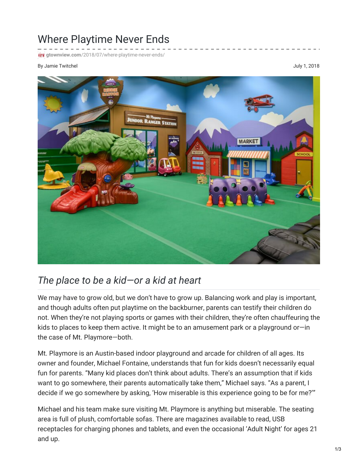## Where Playtime Never Ends

**Firk** gtownview.com[/2018/07/where-playtime-never-ends/](http://gtownview.com/2018/07/where-playtime-never-ends/)

## By Jamie Twitchel and the settlement of the settlement of the settlement of the settlement of the settlement of the settlement of the settlement of the settlement of the settlement of the settlement of the settlement of th



## *The place to be a kid—or a kid at heart*

We may have to grow old, but we don't have to grow up. Balancing work and play is important, and though adults often put playtime on the backburner, parents can testify their children do not. When they're not playing sports or games with their children, they're often chauffeuring the kids to places to keep them active. It might be to an amusement park or a playground or—in the case of Mt. Playmore—both.

Mt. Playmore is an Austin-based indoor playground and arcade for children of all ages. Its owner and founder, Michael Fontaine, understands that fun for kids doesn't necessarily equal fun for parents. "Many kid places don't think about adults. There's an assumption that if kids want to go somewhere, their parents automatically take them," Michael says. "As a parent, I decide if we go somewhere by asking, 'How miserable is this experience going to be for me?'"

Michael and his team make sure visiting Mt. Playmore is anything but miserable. The seating area is full of plush, comfortable sofas. There are magazines available to read, USB receptacles for charging phones and tablets, and even the occasional 'Adult Night' for ages 21 and up.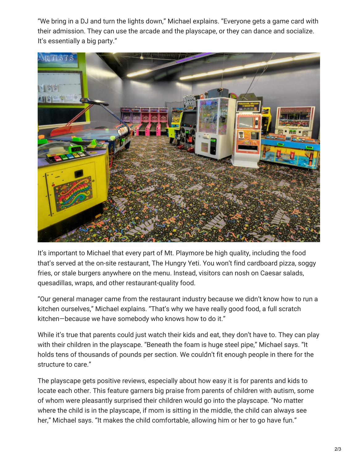"We bring in a DJ and turn the lights down," Michael explains. "Everyone gets a game card with their admission. They can use the arcade and the playscape, or they can dance and socialize. It's essentially a big party."



It's important to Michael that every part of Mt. Playmore be high quality, including the food that's served at the on-site restaurant, The Hungry Yeti. You won't find cardboard pizza, soggy fries, or stale burgers anywhere on the menu. Instead, visitors can nosh on Caesar salads, quesadillas, wraps, and other restaurant-quality food.

"Our general manager came from the restaurant industry because we didn't know how to run a kitchen ourselves," Michael explains. "That's why we have really good food, a full scratch kitchen—because we have somebody who knows how to do it."

While it's true that parents could just watch their kids and eat, they don't have to. They can play with their children in the playscape. "Beneath the foam is huge steel pipe," Michael says. "It holds tens of thousands of pounds per section. We couldn't fit enough people in there for the structure to care."

The playscape gets positive reviews, especially about how easy it is for parents and kids to locate each other. This feature garners big praise from parents of children with autism, some of whom were pleasantly surprised their children would go into the playscape. "No matter where the child is in the playscape, if mom is sitting in the middle, the child can always see her," Michael says. "It makes the child comfortable, allowing him or her to go have fun."